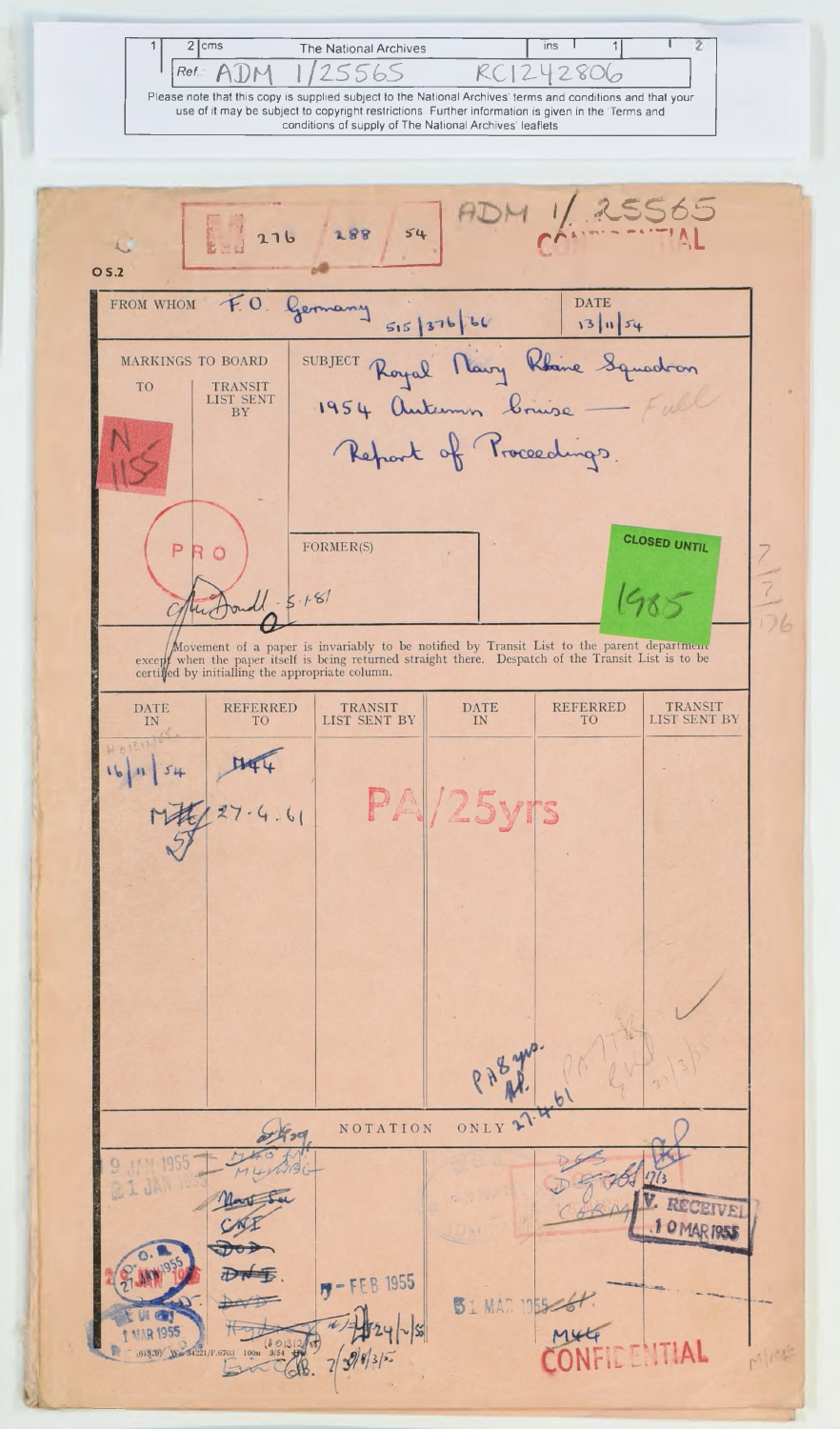$2$  cms  $ins$ The National Archives  $\overline{\mathcal{L}}$ Ref. ADM 5565  $RC1$ U 2 2806 Please note that this copy is supplied subject to the National Archives' terms and conditions and that your use of it may be subject to copyright restrictions. Further information is given in the 'Terms and conditions of supply of The National Archives' leaflets

5565<br>.......  $276$ 188  $54$ - 1  $O<sub>5.2</sub>$ FROM WHOM  $F0$ **DATE** Germany  $515|376|66$  $13|154$ SUBJECT Royal Navy Rhine Squadron MARKINGS TO BOARD TRANSIT<br>LIST SENT<br>BY TO Report of Proceedings. **CLOSED UNTIL**  $\frac{1}{2}$ FORMER(S) P R Ö  $5.1.81$ Movement of a paper is invariably to be notified by Transit List to the parent department except when the paper itself is being returned straight there. Despatch of the Transit List is to be certified by initialling the ap  $\frac{\text{DATE}}{\text{IN}}$ TRANSIT<br>LIST SENT BY REFERRED  $\begin{array}{c} {\rm REFERRED} \\ {\rm TO} \end{array}$ TRANSIT<br>LIST SENT BY  $\begin{array}{c}\text{DATE} \\ \text{IN} \end{array}$ TO<sub>1</sub>  $16|154$ **PA/25yrs**  $27 - 4.61$ NOTATION ONLY  $8440$ **IAN 1955** 9  $I \cup F$ RECEIVE 10 MAR 1955  $F - FEB$  1955 **B**I MAN 1955-6 **MAR 1955** IDENTIAL 6703 100M 3/54 Mice  $79835$  $(61529)$  We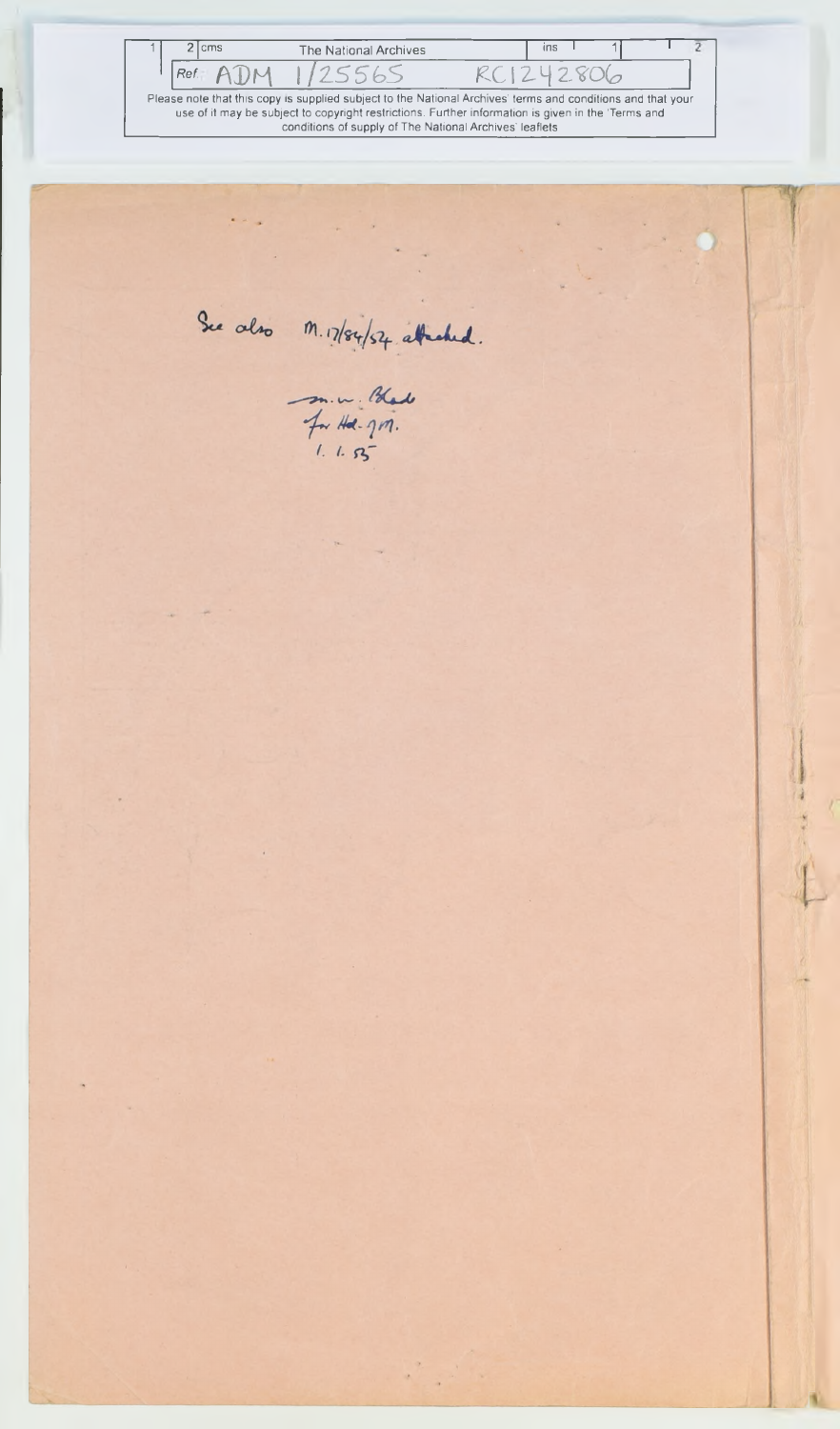1 2 cms The National Archives and The National Archives 5  $\frac{1}{1}$   $\frac{Ref}{2}$   $\frac{POM}{1/2556}$   $\frac{K}{12}$   $\frac{280}{6}$ use of it may be subject to copyright restrictions. Further information is given in the "Terms and conditions of supply of The National Archives' leafletsSee also M. 17/84/54 attached. m. w. Blad<br>For Hal. 917.